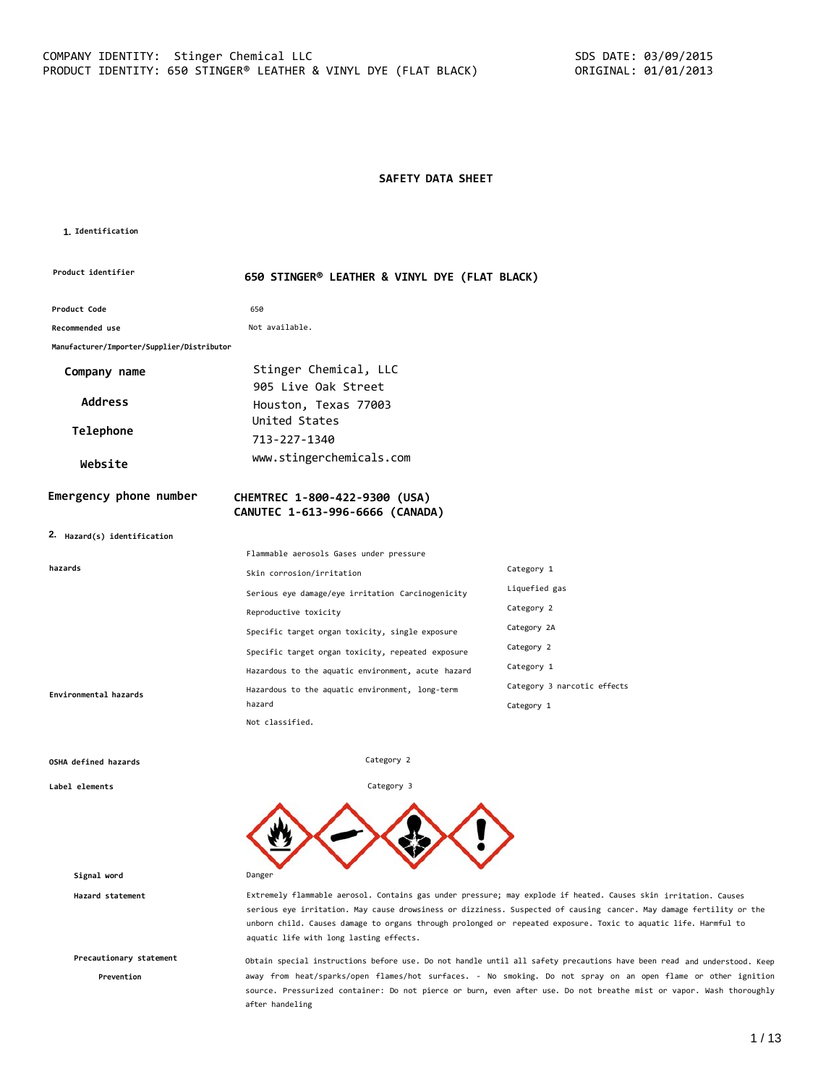# **SAFETY DATA SHEET**

#### **1. Identification**

| <b>Product identifier</b>                  | 650 STINGER® LEATHER & VINYL DYE (FLAT BLACK)      |                             |
|--------------------------------------------|----------------------------------------------------|-----------------------------|
| Product Code                               | 650                                                |                             |
| Recommended use                            | Not available.                                     |                             |
| Manufacturer/Importer/Supplier/Distributor |                                                    |                             |
| Company name                               | Stinger Chemical, LLC                              |                             |
|                                            | 905 Live Oak Street                                |                             |
| <b>Address</b>                             | Houston, Texas 77003                               |                             |
| Telephone                                  | United States                                      |                             |
|                                            | 713-227-1340                                       |                             |
| Website                                    | www.stingerchemicals.com                           |                             |
| Emergency phone number                     | CHEMTREC 1-800-422-9300 (USA)                      |                             |
|                                            | CANUTEC 1-613-996-6666 (CANADA)                    |                             |
| 2. Hazard(s) identification                |                                                    |                             |
|                                            | Flammable aerosols Gases under pressure            |                             |
| hazards                                    | Skin corrosion/irritation                          | Category 1                  |
|                                            | Serious eye damage/eye irritation Carcinogenicity  | Liquefied gas               |
|                                            | Reproductive toxicity                              | Category 2                  |
|                                            | Specific target organ toxicity, single exposure    | Category 2A                 |
|                                            | Specific target organ toxicity, repeated exposure  | Category 2                  |
|                                            | Hazardous to the aquatic environment, acute hazard | Category 1                  |
| Environmental hazards                      | Hazardous to the aquatic environment, long-term    | Category 3 narcotic effects |
|                                            | hazard<br>Not classified.                          | Category 1                  |

Category 2

Category 3

#### **OSHA defined hazards**

**Label elements**

**Signal word** Danger

**Precautionary statement**

**Prevention**

**Hazard statement** Extremely flammable aerosol. Contains gas under pressure; may explode if heated. Causes skin irritation. Causes serious eye irritation. May cause drowsiness or dizziness. Suspected of causing cancer. May damage fertility or the unborn child. Causes damage to organs through prolonged or repeated exposure. Toxic to aquatic life. Harmful to aquatic life with long lasting effects.

> Obtain special instructions before use. Do not handle until all safety precautions have been read and understood. Keep away from heat/sparks/open flames/hot surfaces. - No smoking. Do not spray on an open flame or other ignition source. Pressurized container: Do not pierce or burn, even after use. Do not breathe mist or vapor. Wash thoroughly after handeling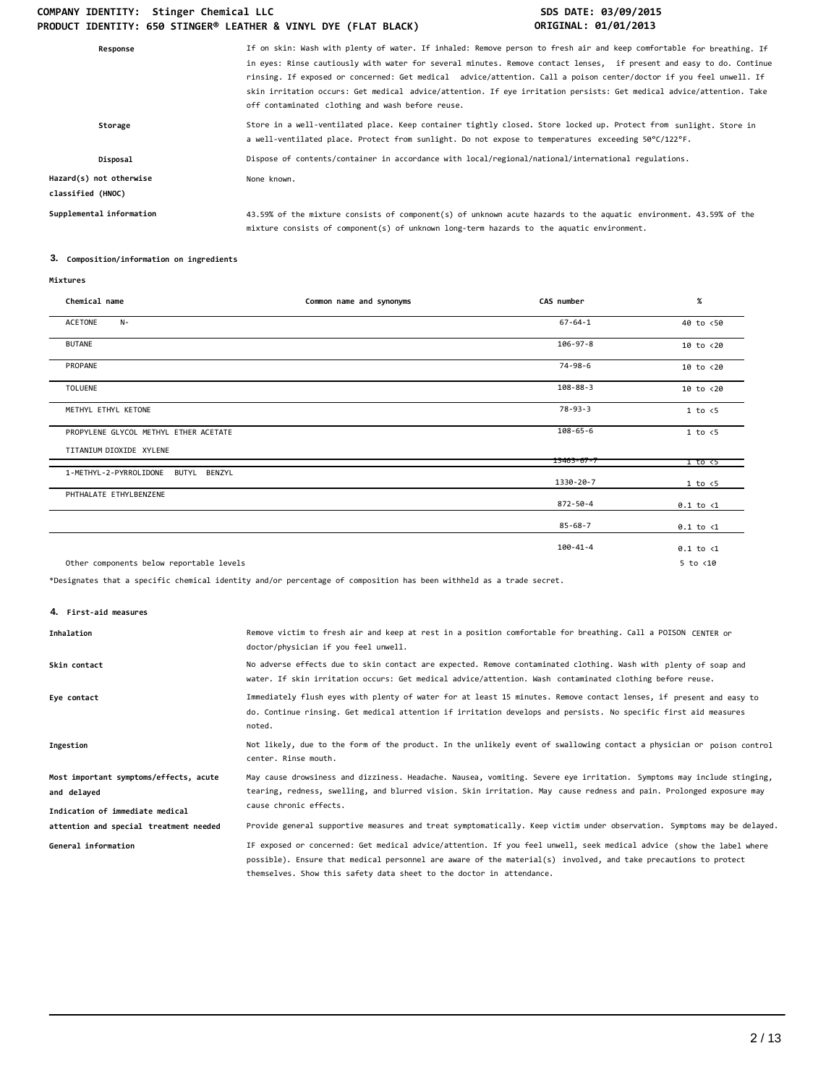# COMPANY IDENTITY: Stinger Chemical LLC **SDS DATE: 03/09/2015 PRODUCT IDENTITY: 650 STINGER® LEATHER & VINYL DYE (FLAT BLACK) ORIGINAL: 01/01/2013**

| If on skin: Wash with plenty of water. If inhaled: Remove person to fresh air and keep comfortable for breathing. If<br>in eyes: Rinse cautiously with water for several minutes. Remove contact lenses, if present and easy to do. Continue<br>rinsing. If exposed or concerned: Get medical advice/attention. Call a poison center/doctor if you feel unwell. If<br>skin irritation occurs: Get medical advice/attention. If eye irritation persists: Get medical advice/attention. Take<br>off contaminated clothing and wash before reuse. |
|------------------------------------------------------------------------------------------------------------------------------------------------------------------------------------------------------------------------------------------------------------------------------------------------------------------------------------------------------------------------------------------------------------------------------------------------------------------------------------------------------------------------------------------------|
| Store in a well-ventilated place. Keep container tightly closed. Store locked up. Protect from sunlight. Store in<br>a well-ventilated place. Protect from sunlight. Do not expose to temperatures exceeding 50°C/122°F.                                                                                                                                                                                                                                                                                                                       |
| Dispose of contents/container in accordance with local/regional/national/international regulations.                                                                                                                                                                                                                                                                                                                                                                                                                                            |
| None known.                                                                                                                                                                                                                                                                                                                                                                                                                                                                                                                                    |
| 43.59% of the mixture consists of component(s) of unknown acute hazards to the aquatic environment. 43.59% of the<br>mixture consists of component(s) of unknown long-term hazards to the aquatic environment.                                                                                                                                                                                                                                                                                                                                 |
|                                                                                                                                                                                                                                                                                                                                                                                                                                                                                                                                                |

# **3. Composition/information on ingredients**

#### **Mixtures**

| Chemical name                             | Common name and synonyms | CAS number       | $\%$                 |
|-------------------------------------------|--------------------------|------------------|----------------------|
| <b>ACETONE</b><br>$N-$                    |                          | $67 - 64 - 1$    | 40 to <50            |
| <b>BUTANE</b>                             |                          | $106 - 97 - 8$   | $10$ to $< 20$       |
| PROPANE                                   |                          | 74-98-6          | 10 to <20            |
| <b>TOLUENE</b>                            |                          | $108 - 88 - 3$   | 10 to <20            |
| METHYL ETHYL KETONE                       |                          | $78 - 93 - 3$    | 1 to < 5             |
| PROPYLENE GLYCOL METHYL ETHER ACETATE     |                          | $108 - 65 - 6$   | $1$ to $\leq 5$      |
| TITANIUM DIOXIDE XYLENE                   |                          | $13463 - 67 - 7$ | 1 to <5              |
| 1-METHYL-2-PYRROLIDONE<br>BUTYL<br>BENZYL |                          | 1330-20-7        | 1 to < 5             |
| PHTHALATE ETHYLBENZENE                    |                          | 872-50-4         | $0.1$ to $\langle 1$ |
|                                           |                          | $85 - 68 - 7$    | $0.1$ to $\langle 1$ |
|                                           |                          | 100-41-4         | $0.1$ to $\langle 1$ |
| Other components below reportable levels  |                          |                  | $5$ to $< 10$        |

\*Designates that a specific chemical identity and/or percentage of composition has been withheld as a trade secret.

## **4. First-aid measures**

| Inhalation                                                                               | Remove victim to fresh air and keep at rest in a position comfortable for breathing. Call a POISON CENTER or<br>doctor/physician if you feel unwell.                                                                                                                                                            |
|------------------------------------------------------------------------------------------|-----------------------------------------------------------------------------------------------------------------------------------------------------------------------------------------------------------------------------------------------------------------------------------------------------------------|
| Skin contact                                                                             | No adverse effects due to skin contact are expected. Remove contaminated clothing. Wash with plenty of soap and<br>water. If skin irritation occurs: Get medical advice/attention. Wash contaminated clothing before reuse.                                                                                     |
| Eye contact                                                                              | Immediately flush eyes with plenty of water for at least 15 minutes. Remove contact lenses, if present and easy to<br>do. Continue rinsing. Get medical attention if irritation develops and persists. No specific first aid measures<br>noted.                                                                 |
| Ingestion                                                                                | Not likely, due to the form of the product. In the unlikely event of swallowing contact a physician or poison control<br>center. Rinse mouth.                                                                                                                                                                   |
| Most important symptoms/effects, acute<br>and delayed<br>Indication of immediate medical | May cause drowsiness and dizziness. Headache. Nausea, vomiting. Severe eye irritation. Symptoms may include stinging,<br>tearing, redness, swelling, and blurred vision. Skin irritation. May cause redness and pain. Prolonged exposure may<br>cause chronic effects.                                          |
| attention and special treatment needed                                                   | Provide general supportive measures and treat symptomatically. Keep victim under observation. Symptoms may be delayed.                                                                                                                                                                                          |
| General information                                                                      | IF exposed or concerned: Get medical advice/attention. If you feel unwell, seek medical advice (show the label where<br>possible). Ensure that medical personnel are aware of the material(s) involved, and take precautions to protect<br>themselves. Show this safety data sheet to the doctor in attendance. |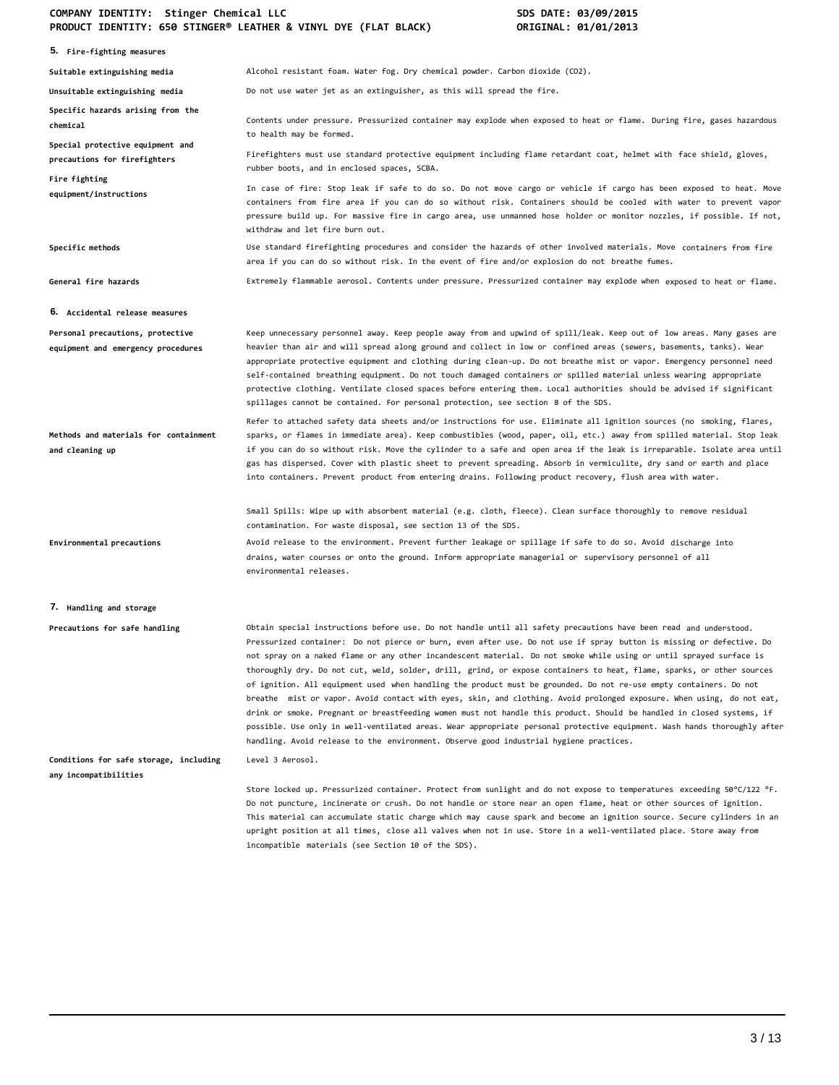# **COMPANY IDENTITY: Stinger Chemical LLC SDS DATE: 03/09/2015 PRODUCT IDENTITY: 650 STINGER® LEATHER & VINYL DYE (FLAT BLACK) ORIGINAL: 01/01/2013**

|                                                                        | THODOCT IDENTIFIT. OSO STINGER EERTHER & VINTE DTE (TERT DERCK)<br>0.11011761.0170172012                                                                                                                                                                                                                                                                                                                                                                                                                                                                                                                                                                                                                                                                                                                                                                                                                                                                                                                                                                                                |
|------------------------------------------------------------------------|-----------------------------------------------------------------------------------------------------------------------------------------------------------------------------------------------------------------------------------------------------------------------------------------------------------------------------------------------------------------------------------------------------------------------------------------------------------------------------------------------------------------------------------------------------------------------------------------------------------------------------------------------------------------------------------------------------------------------------------------------------------------------------------------------------------------------------------------------------------------------------------------------------------------------------------------------------------------------------------------------------------------------------------------------------------------------------------------|
| 5. Fire-fighting measures                                              |                                                                                                                                                                                                                                                                                                                                                                                                                                                                                                                                                                                                                                                                                                                                                                                                                                                                                                                                                                                                                                                                                         |
| Suitable extinguishing media                                           | Alcohol resistant foam. Water fog. Dry chemical powder. Carbon dioxide (CO2).                                                                                                                                                                                                                                                                                                                                                                                                                                                                                                                                                                                                                                                                                                                                                                                                                                                                                                                                                                                                           |
| Unsuitable extinguishing media                                         | Do not use water jet as an extinguisher, as this will spread the fire.                                                                                                                                                                                                                                                                                                                                                                                                                                                                                                                                                                                                                                                                                                                                                                                                                                                                                                                                                                                                                  |
| Specific hazards arising from the<br>chemical                          | Contents under pressure. Pressurized container may explode when exposed to heat or flame. During fire, gases hazardous<br>to health may be formed.                                                                                                                                                                                                                                                                                                                                                                                                                                                                                                                                                                                                                                                                                                                                                                                                                                                                                                                                      |
| Special protective equipment and<br>precautions for firefighters       | Firefighters must use standard protective equipment including flame retardant coat, helmet with face shield, gloves,<br>rubber boots, and in enclosed spaces, SCBA.                                                                                                                                                                                                                                                                                                                                                                                                                                                                                                                                                                                                                                                                                                                                                                                                                                                                                                                     |
| Fire fighting<br>equipment/instructions                                | In case of fire: Stop leak if safe to do so. Do not move cargo or vehicle if cargo has been exposed to heat. Move<br>containers from fire area if you can do so without risk. Containers should be cooled with water to prevent vapor<br>pressure build up. For massive fire in cargo area, use unmanned hose holder or monitor nozzles, if possible. If not,<br>withdraw and let fire burn out.                                                                                                                                                                                                                                                                                                                                                                                                                                                                                                                                                                                                                                                                                        |
| Specific methods                                                       | Use standard firefighting procedures and consider the hazards of other involved materials. Move containers from fire<br>area if you can do so without risk. In the event of fire and/or explosion do not breathe fumes.                                                                                                                                                                                                                                                                                                                                                                                                                                                                                                                                                                                                                                                                                                                                                                                                                                                                 |
| General fire hazards                                                   | Extremely flammable aerosol. Contents under pressure. Pressurized container may explode when exposed to heat or flame.                                                                                                                                                                                                                                                                                                                                                                                                                                                                                                                                                                                                                                                                                                                                                                                                                                                                                                                                                                  |
| 6. Accidental release measures                                         |                                                                                                                                                                                                                                                                                                                                                                                                                                                                                                                                                                                                                                                                                                                                                                                                                                                                                                                                                                                                                                                                                         |
| Personal precautions, protective<br>equipment and emergency procedures | Keep unnecessary personnel away. Keep people away from and upwind of spill/leak. Keep out of low areas. Many gases are<br>heavier than air and will spread along ground and collect in low or confined areas (sewers, basements, tanks). Wear<br>appropriate protective equipment and clothing during clean-up. Do not breathe mist or vapor. Emergency personnel need<br>self-contained breathing equipment. Do not touch damaged containers or spilled material unless wearing appropriate<br>protective clothing. Ventilate closed spaces before entering them. Local authorities should be advised if significant<br>spillages cannot be contained. For personal protection, see section 8 of the SDS.                                                                                                                                                                                                                                                                                                                                                                              |
| Methods and materials for containment<br>and cleaning up               | Refer to attached safety data sheets and/or instructions for use. Eliminate all ignition sources (no smoking, flares,<br>sparks, or flames in immediate area). Keep combustibles (wood, paper, oil, etc.) away from spilled material. Stop leak<br>if you can do so without risk. Move the cylinder to a safe and open area if the leak is irreparable. Isolate area until<br>gas has dispersed. Cover with plastic sheet to prevent spreading. Absorb in vermiculite, dry sand or earth and place<br>into containers. Prevent product from entering drains. Following product recovery, flush area with water.                                                                                                                                                                                                                                                                                                                                                                                                                                                                         |
|                                                                        | Small Spills: Wipe up with absorbent material (e.g. cloth, fleece). Clean surface thoroughly to remove residual<br>contamination. For waste disposal, see section 13 of the SDS.                                                                                                                                                                                                                                                                                                                                                                                                                                                                                                                                                                                                                                                                                                                                                                                                                                                                                                        |
| Environmental precautions                                              | Avoid release to the environment. Prevent further leakage or spillage if safe to do so. Avoid discharge into<br>drains, water courses or onto the ground. Inform appropriate managerial or supervisory personnel of all<br>environmental releases.                                                                                                                                                                                                                                                                                                                                                                                                                                                                                                                                                                                                                                                                                                                                                                                                                                      |
| 7. Handling and storage                                                |                                                                                                                                                                                                                                                                                                                                                                                                                                                                                                                                                                                                                                                                                                                                                                                                                                                                                                                                                                                                                                                                                         |
| Precautions for safe handling                                          | Obtain special instructions before use. Do not handle until all safety precautions have been read and understood.<br>Pressurized container: Do not pierce or burn, even after use. Do not use if spray button is missing or defective. Do<br>not spray on a naked flame or any other incandescent material. Do not smoke while using or until sprayed surface is<br>thoroughly dry. Do not cut, weld, solder, drill, grind, or expose containers to heat, flame, sparks, or other sources<br>of ignition. All equipment used when handling the product must be grounded. Do not re-use empty containers. Do not<br>breathe mist or vapor. Avoid contact with eyes, skin, and clothing. Avoid prolonged exposure. When using, do not eat,<br>drink or smoke. Pregnant or breastfeeding women must not handle this product. Should be handled in closed systems, if<br>possible. Use only in well-ventilated areas. Wear appropriate personal protective equipment. Wash hands thoroughly after<br>handling. Avoid release to the environment. Observe good industrial hygiene practices. |
| Conditions for safe storage, including<br>any incompatibilities        | Level 3 Aerosol.                                                                                                                                                                                                                                                                                                                                                                                                                                                                                                                                                                                                                                                                                                                                                                                                                                                                                                                                                                                                                                                                        |
|                                                                        | Store locked up. Pressurized container. Protect from sunlight and do not expose to temperatures exceeding 50°C/122 °F.<br>Do not puncture, incinerate or crush. Do not handle or store near an open flame, heat or other sources of ignition.<br>This material can accumulate static charge which may cause spark and become an ignition source. Secure cylinders in an<br>upright position at all times, close all valves when not in use. Store in a well-ventilated place. Store away from<br>incompatible materials (see Section 10 of the SDS).                                                                                                                                                                                                                                                                                                                                                                                                                                                                                                                                    |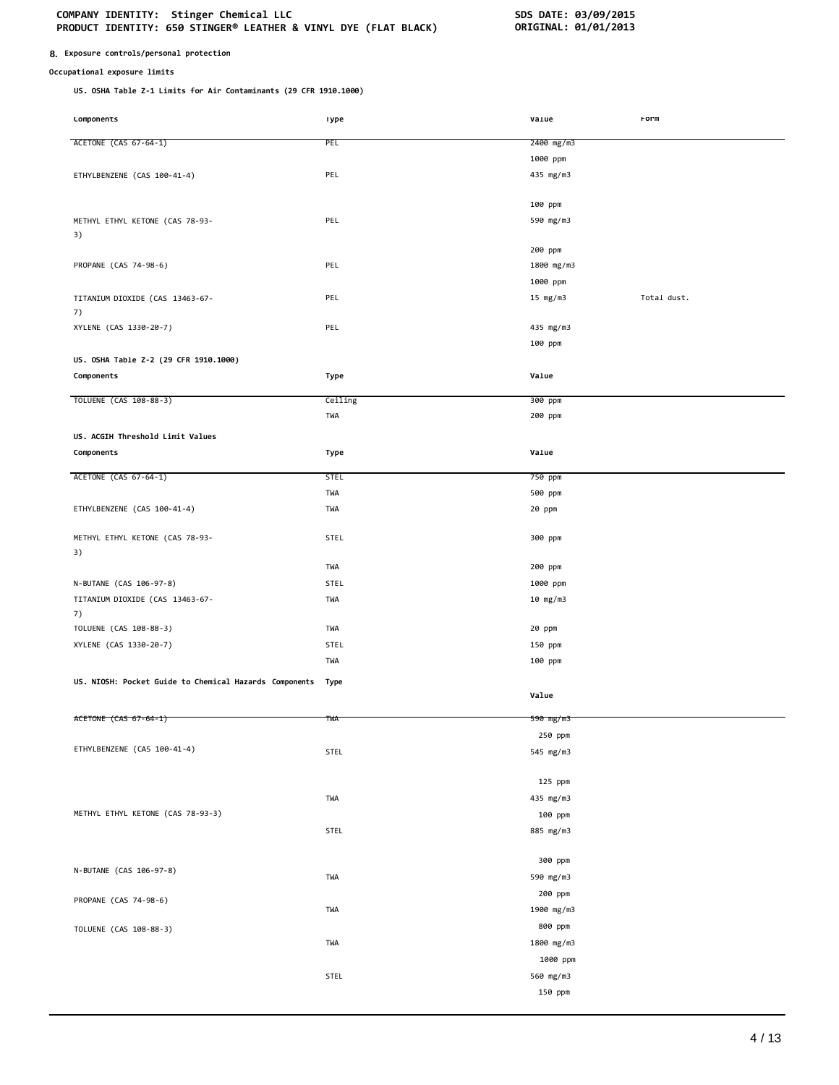## **8. Exposure controls/personal protection**

## **Occupational exposure limits**

**US. OSHA Table Z-1 Limits for Air Contaminants (29 CFR 1910.1000)**

| Lomponents                                             | ıype        | varue      | rorm        |
|--------------------------------------------------------|-------------|------------|-------------|
| ACETONE (CAS 67-64-1)                                  | PEL         | 2400 mg/m3 |             |
|                                                        |             |            |             |
|                                                        |             | 1000 ppm   |             |
| ETHYLBENZENE (CAS 100-41-4)                            | PEL         | 435 mg/m3  |             |
|                                                        |             | 100 ppm    |             |
|                                                        |             |            |             |
| METHYL ETHYL KETONE (CAS 78-93-                        | PEL         | 590 mg/m3  |             |
| 3)                                                     |             | 200 ppm    |             |
| PROPANE (CAS 74-98-6)                                  | PEL         | 1800 mg/m3 |             |
|                                                        |             |            |             |
|                                                        |             | 1000 ppm   |             |
| TITANIUM DIOXIDE (CAS 13463-67-                        | PEL         | 15 $mg/m3$ | Total dust. |
| 7)                                                     | PEL         |            |             |
| XYLENE (CAS 1330-20-7)                                 |             | 435 mg/m3  |             |
|                                                        |             | 100 ppm    |             |
| US. OSHA Table Z-2 (29 CFR 1910.1000)                  |             |            |             |
| Components                                             | Type        | Value      |             |
| TOLUENE (CAS 108-88-3)                                 | Ceiling     | 300 ppm    |             |
|                                                        | TWA         | 200 ppm    |             |
| US. ACGIH Threshold Limit Values                       |             |            |             |
| Components                                             | Type        | Value      |             |
|                                                        |             |            |             |
| ACETONE (CAS 67-64-1)                                  | <b>STEL</b> | 750 ppm    |             |
|                                                        | TWA         | 500 ppm    |             |
| ETHYLBENZENE (CAS 100-41-4)                            | TWA         | 20 ppm     |             |
|                                                        |             |            |             |
| METHYL ETHYL KETONE (CAS 78-93-                        | STEL        | 300 ppm    |             |
| 3)                                                     |             |            |             |
|                                                        | TWA         | 200 ppm    |             |
| N-BUTANE (CAS 106-97-8)                                | STEL        | 1000 ppm   |             |
| TITANIUM DIOXIDE (CAS 13463-67-                        | TWA         | 10 mg/m3   |             |
| 7)                                                     |             |            |             |
| TOLUENE (CAS 108-88-3)                                 | TWA         | 20 ppm     |             |
| XYLENE (CAS 1330-20-7)                                 | STEL        | 150 ppm    |             |
|                                                        | TWA         | 100 ppm    |             |
| US. NIOSH: Pocket Guide to Chemical Hazards Components | Type        |            |             |
|                                                        |             | Value      |             |
|                                                        |             |            |             |
| ACETONE (CAS 67-64-1)                                  | twa         | 590 mg/m3  |             |
|                                                        |             | 250 ppm    |             |
| ETHYLBENZENE (CAS 100-41-4)                            | STEL        | 545 mg/m3  |             |
|                                                        |             |            |             |
|                                                        |             | 125 ppm    |             |
|                                                        | TWA         | 435 mg/m3  |             |
| METHYL ETHYL KETONE (CAS 78-93-3)                      |             | 100 ppm    |             |
|                                                        | STEL        | 885 mg/m3  |             |
|                                                        |             |            |             |
| N-BUTANE (CAS 106-97-8)                                |             | 300 ppm    |             |
|                                                        | TWA         | 590 mg/m3  |             |
| PROPANE (CAS 74-98-6)                                  |             | 200 ppm    |             |
|                                                        | TWA         | 1900 mg/m3 |             |
| TOLUENE (CAS 108-88-3)                                 |             | 800 ppm    |             |
|                                                        | TWA         | 1800 mg/m3 |             |
|                                                        |             | 1000 ppm   |             |
|                                                        | STEL        | 560 mg/m3  |             |
|                                                        |             | 150 ppm    |             |
|                                                        |             |            |             |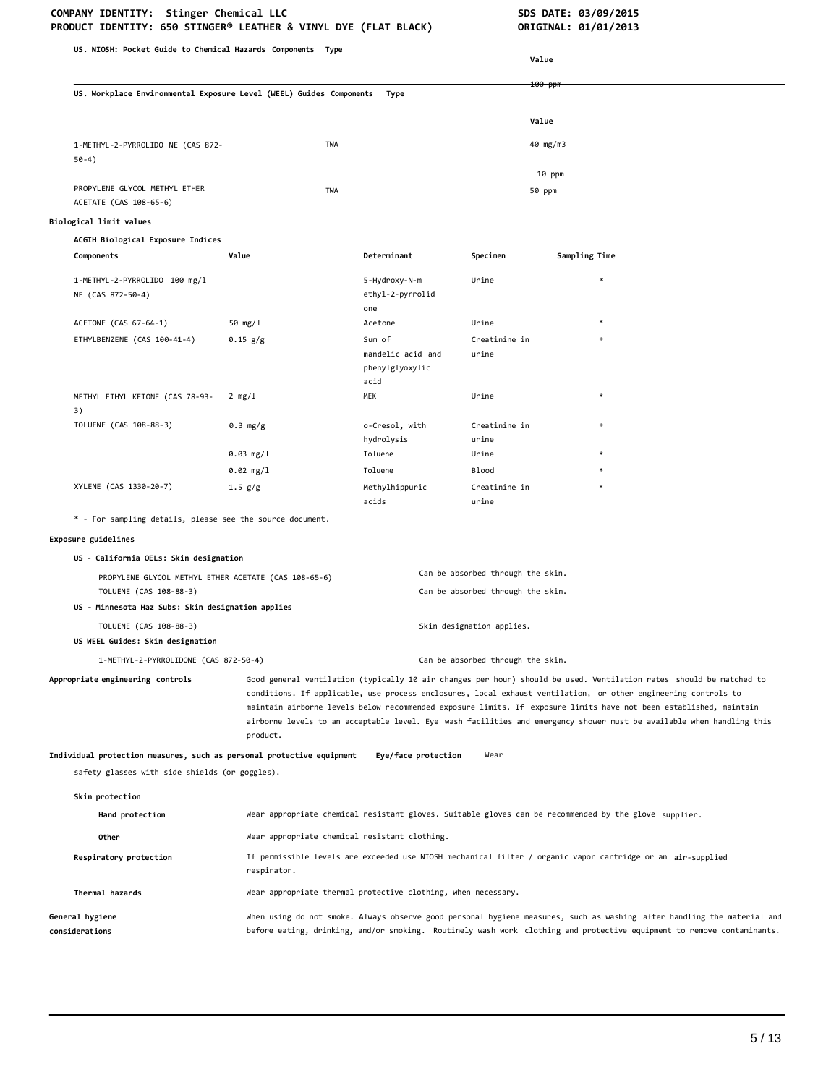| US. NIOSH: Pocket Guide to Chemical Hazards Components Type                    |                                                                                                                                                                                                                                                                                                                                                                                                                                                                                                  |                                                                                                       |                                                                        | Value              |                                                                                                                                                                                                                                                   |
|--------------------------------------------------------------------------------|--------------------------------------------------------------------------------------------------------------------------------------------------------------------------------------------------------------------------------------------------------------------------------------------------------------------------------------------------------------------------------------------------------------------------------------------------------------------------------------------------|-------------------------------------------------------------------------------------------------------|------------------------------------------------------------------------|--------------------|---------------------------------------------------------------------------------------------------------------------------------------------------------------------------------------------------------------------------------------------------|
|                                                                                |                                                                                                                                                                                                                                                                                                                                                                                                                                                                                                  |                                                                                                       |                                                                        |                    |                                                                                                                                                                                                                                                   |
| US. Workplace Environmental Exposure Level (WEEL) Guides Components<br>Type    |                                                                                                                                                                                                                                                                                                                                                                                                                                                                                                  |                                                                                                       |                                                                        | <del>100 ppr</del> |                                                                                                                                                                                                                                                   |
|                                                                                |                                                                                                                                                                                                                                                                                                                                                                                                                                                                                                  |                                                                                                       |                                                                        | Value              |                                                                                                                                                                                                                                                   |
| 1-METHYL-2-PYRROLIDO NE (CAS 872-<br>$50-4)$                                   | TWA                                                                                                                                                                                                                                                                                                                                                                                                                                                                                              |                                                                                                       |                                                                        | 40 mg/m3           |                                                                                                                                                                                                                                                   |
|                                                                                |                                                                                                                                                                                                                                                                                                                                                                                                                                                                                                  |                                                                                                       |                                                                        | 10 ppm             |                                                                                                                                                                                                                                                   |
| PROPYLENE GLYCOL METHYL ETHER<br>ACETATE (CAS 108-65-6)                        | TWA                                                                                                                                                                                                                                                                                                                                                                                                                                                                                              |                                                                                                       |                                                                        | 50 ppm             |                                                                                                                                                                                                                                                   |
| Biological limit values                                                        |                                                                                                                                                                                                                                                                                                                                                                                                                                                                                                  |                                                                                                       |                                                                        |                    |                                                                                                                                                                                                                                                   |
| ACGIH Biological Exposure Indices                                              |                                                                                                                                                                                                                                                                                                                                                                                                                                                                                                  |                                                                                                       |                                                                        |                    |                                                                                                                                                                                                                                                   |
| Components                                                                     | Value                                                                                                                                                                                                                                                                                                                                                                                                                                                                                            | Determinant                                                                                           | Specimen                                                               | Sampling Time      |                                                                                                                                                                                                                                                   |
| 1-METHYL-2-PYRROLIDO 100 mg/l<br>NE (CAS 872-50-4)                             |                                                                                                                                                                                                                                                                                                                                                                                                                                                                                                  | 5-Hydroxy-N-m<br>ethyl-2-pyrrolid<br>one                                                              | Urine                                                                  |                    |                                                                                                                                                                                                                                                   |
| ACETONE (CAS 67-64-1)                                                          | 50 $mg/1$                                                                                                                                                                                                                                                                                                                                                                                                                                                                                        | Acetone                                                                                               | Urine                                                                  |                    |                                                                                                                                                                                                                                                   |
| ETHYLBENZENE (CAS 100-41-4)                                                    | 0.15 g/g                                                                                                                                                                                                                                                                                                                                                                                                                                                                                         | Sum of<br>mandelic acid and<br>phenylglyoxylic<br>acid                                                | Creatinine in<br>urine                                                 |                    |                                                                                                                                                                                                                                                   |
| METHYL ETHYL KETONE (CAS 78-93-                                                | $2 \text{ mg}/1$                                                                                                                                                                                                                                                                                                                                                                                                                                                                                 | MEK                                                                                                   | Urine                                                                  |                    |                                                                                                                                                                                                                                                   |
| 3)                                                                             |                                                                                                                                                                                                                                                                                                                                                                                                                                                                                                  |                                                                                                       |                                                                        |                    |                                                                                                                                                                                                                                                   |
| TOLUENE (CAS 108-88-3)                                                         | 0.3 mg/g                                                                                                                                                                                                                                                                                                                                                                                                                                                                                         | o-Cresol, with<br>hydrolysis                                                                          | Creatinine in<br>urine                                                 |                    |                                                                                                                                                                                                                                                   |
|                                                                                | 0.03 mg/l                                                                                                                                                                                                                                                                                                                                                                                                                                                                                        | Toluene                                                                                               | Urine                                                                  |                    |                                                                                                                                                                                                                                                   |
|                                                                                | $0.02$ mg/l                                                                                                                                                                                                                                                                                                                                                                                                                                                                                      | Toluene                                                                                               | Blood                                                                  |                    |                                                                                                                                                                                                                                                   |
| XYLENE (CAS 1330-20-7)                                                         | 1.5 g/g                                                                                                                                                                                                                                                                                                                                                                                                                                                                                          | Methylhippuric<br>acids                                                                               | Creatinine in<br>urine                                                 |                    |                                                                                                                                                                                                                                                   |
| * - For sampling details, please see the source document.                      |                                                                                                                                                                                                                                                                                                                                                                                                                                                                                                  |                                                                                                       |                                                                        |                    |                                                                                                                                                                                                                                                   |
| Exposure guidelines                                                            |                                                                                                                                                                                                                                                                                                                                                                                                                                                                                                  |                                                                                                       |                                                                        |                    |                                                                                                                                                                                                                                                   |
| US - California OELs: Skin designation                                         |                                                                                                                                                                                                                                                                                                                                                                                                                                                                                                  |                                                                                                       |                                                                        |                    |                                                                                                                                                                                                                                                   |
| PROPYLENE GLYCOL METHYL ETHER ACETATE (CAS 108-65-6)<br>TOLUENE (CAS 108-88-3) |                                                                                                                                                                                                                                                                                                                                                                                                                                                                                                  |                                                                                                       | Can be absorbed through the skin.<br>Can be absorbed through the skin. |                    |                                                                                                                                                                                                                                                   |
| US - Minnesota Haz Subs: Skin designation applies                              |                                                                                                                                                                                                                                                                                                                                                                                                                                                                                                  |                                                                                                       |                                                                        |                    |                                                                                                                                                                                                                                                   |
| TOLUENE (CAS 108-88-3)                                                         |                                                                                                                                                                                                                                                                                                                                                                                                                                                                                                  |                                                                                                       | Skin designation applies.                                              |                    |                                                                                                                                                                                                                                                   |
| US WEEL Guides: Skin designation                                               |                                                                                                                                                                                                                                                                                                                                                                                                                                                                                                  |                                                                                                       |                                                                        |                    |                                                                                                                                                                                                                                                   |
| 1-METHYL-2-PYRROLIDONE (CAS 872-50-4)                                          |                                                                                                                                                                                                                                                                                                                                                                                                                                                                                                  |                                                                                                       | Can be absorbed through the skin.                                      |                    |                                                                                                                                                                                                                                                   |
| Appropriate engineering controls                                               | Good general ventilation (typically 10 air changes per hour) should be used. Ventilation rates should be matched to<br>conditions. If applicable, use process enclosures, local exhaust ventilation, or other engineering controls to<br>maintain airborne levels below recommended exposure limits. If exposure limits have not been established, maintain<br>airborne levels to an acceptable level. Eye wash facilities and emergency shower must be available when handling this<br>product. |                                                                                                       |                                                                        |                    |                                                                                                                                                                                                                                                   |
| Individual protection measures, such as personal protective equipment          |                                                                                                                                                                                                                                                                                                                                                                                                                                                                                                  | Eye/face protection                                                                                   | Wear                                                                   |                    |                                                                                                                                                                                                                                                   |
| safety glasses with side shields (or goggles).                                 |                                                                                                                                                                                                                                                                                                                                                                                                                                                                                                  |                                                                                                       |                                                                        |                    |                                                                                                                                                                                                                                                   |
| Skin protection                                                                |                                                                                                                                                                                                                                                                                                                                                                                                                                                                                                  |                                                                                                       |                                                                        |                    |                                                                                                                                                                                                                                                   |
| Hand protection                                                                |                                                                                                                                                                                                                                                                                                                                                                                                                                                                                                  | Wear appropriate chemical resistant gloves. Suitable gloves can be recommended by the glove supplier. |                                                                        |                    |                                                                                                                                                                                                                                                   |
| Other                                                                          | Wear appropriate chemical resistant clothing.                                                                                                                                                                                                                                                                                                                                                                                                                                                    |                                                                                                       |                                                                        |                    |                                                                                                                                                                                                                                                   |
| Respiratory protection                                                         | respirator.                                                                                                                                                                                                                                                                                                                                                                                                                                                                                      |                                                                                                       |                                                                        |                    | If permissible levels are exceeded use NIOSH mechanical filter / organic vapor cartridge or an air-supplied                                                                                                                                       |
| Thermal hazards                                                                |                                                                                                                                                                                                                                                                                                                                                                                                                                                                                                  | Wear appropriate thermal protective clothing, when necessary.                                         |                                                                        |                    |                                                                                                                                                                                                                                                   |
| General hygiene<br>considerations                                              |                                                                                                                                                                                                                                                                                                                                                                                                                                                                                                  |                                                                                                       |                                                                        |                    | When using do not smoke. Always observe good personal hygiene measures, such as washing after handling the material and<br>before eating, drinking, and/or smoking. Routinely wash work clothing and protective equipment to remove contaminants. |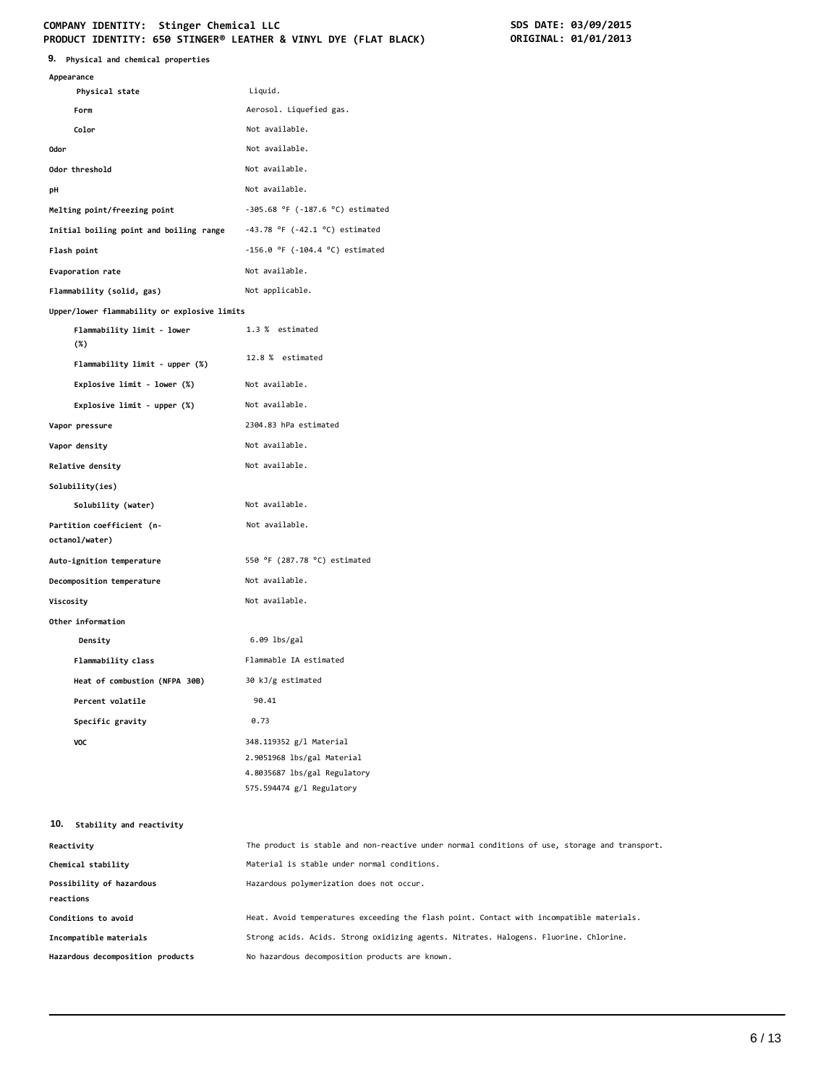# **COMPANY IDENTITY: Stinger Chemical LLC SDS DATE: 03/09/2015**

| SDS DATE: 03/09/2015 |
|----------------------|
| ORIGINAL: 01/01/2013 |

| 9. Physical and chemical properties          | PRODUCT IDENTITY: 650 STINGER® LEATHER & VINYL DYE (FLAT BLACK)<br>ORIGINAL: 01/01/2013                            |
|----------------------------------------------|--------------------------------------------------------------------------------------------------------------------|
| Appearance                                   |                                                                                                                    |
| Physical state                               | Liquid.                                                                                                            |
| Form                                         | Aerosol. Liquefied gas.                                                                                            |
| Color                                        | Not available.                                                                                                     |
| <b>Odor</b>                                  | Not available.                                                                                                     |
| Odor threshold                               | Not available.                                                                                                     |
| рH                                           | Not available.                                                                                                     |
| Melting point/freezing point                 | $-305.68$ °F ( $-187.6$ °C) estimated                                                                              |
| Initial boiling point and boiling range      | -43.78 °F (-42.1 °C) estimated                                                                                     |
| Flash point                                  | $-156.0$ °F ( $-104.4$ °C) estimated                                                                               |
| Evaporation rate                             | Not available.                                                                                                     |
| Flammability (solid, gas)                    | Not applicable.                                                                                                    |
| Upper/lower flammability or explosive limits |                                                                                                                    |
| Flammability limit - lower<br>$(\%)$         | 1.3 % estimated                                                                                                    |
| Flammability limit - upper (%)               | 12.8 % estimated                                                                                                   |
| Explosive limit - lower (%)                  | Not available.                                                                                                     |
| Explosive limit - upper (%)                  | Not available.                                                                                                     |
| Vapor pressure                               | 2304.83 hPa estimated                                                                                              |
| Vapor density                                | Not available.                                                                                                     |
| Relative density                             | Not available.                                                                                                     |
| Solubility(ies)                              |                                                                                                                    |
| Solubility (water)                           | Not available.                                                                                                     |
| Partition coefficient (n-<br>octanol/water)  | Not available.                                                                                                     |
| Auto-ignition temperature                    | 550 °F (287.78 °C) estimated                                                                                       |
| Decomposition temperature                    | Not available.                                                                                                     |
| Viscosity                                    | Not available.                                                                                                     |
| Other information                            |                                                                                                                    |
| Density                                      | $6.09$ lbs/gal                                                                                                     |
| Flammability class                           | Flammable IA estimated                                                                                             |
| Heat of combustion (NFPA 30B)                | 30 kJ/g estimated                                                                                                  |
| Percent volatile                             | 90.41                                                                                                              |
| Specific gravity                             | 0.73                                                                                                               |
| VOC                                          | 348.119352 g/l Material<br>2.9051968 lbs/gal Material<br>4.8035687 lbs/gal Regulatory<br>575.594474 g/l Regulatory |
| 10.<br>Stability and reactivity              |                                                                                                                    |
| Reactivity                                   | The product is stable and non-reactive under normal conditions of use, storage and tran:                           |

| Reactivity                       | The product is stable and non-reactive under normal conditions of use, storage and transport. |
|----------------------------------|-----------------------------------------------------------------------------------------------|
| Chemical stability               | Material is stable under normal conditions.                                                   |
| Possibility of hazardous         | Hazardous polymerization does not occur.                                                      |
| reactions                        |                                                                                               |
| Conditions to avoid              | Heat. Avoid temperatures exceeding the flash point. Contact with incompatible materials.      |
| Incompatible materials           | Strong acids. Acids. Strong oxidizing agents. Nitrates. Halogens. Fluorine. Chlorine.         |
| Hazardous decomposition products | No hazardous decomposition products are known.                                                |
|                                  |                                                                                               |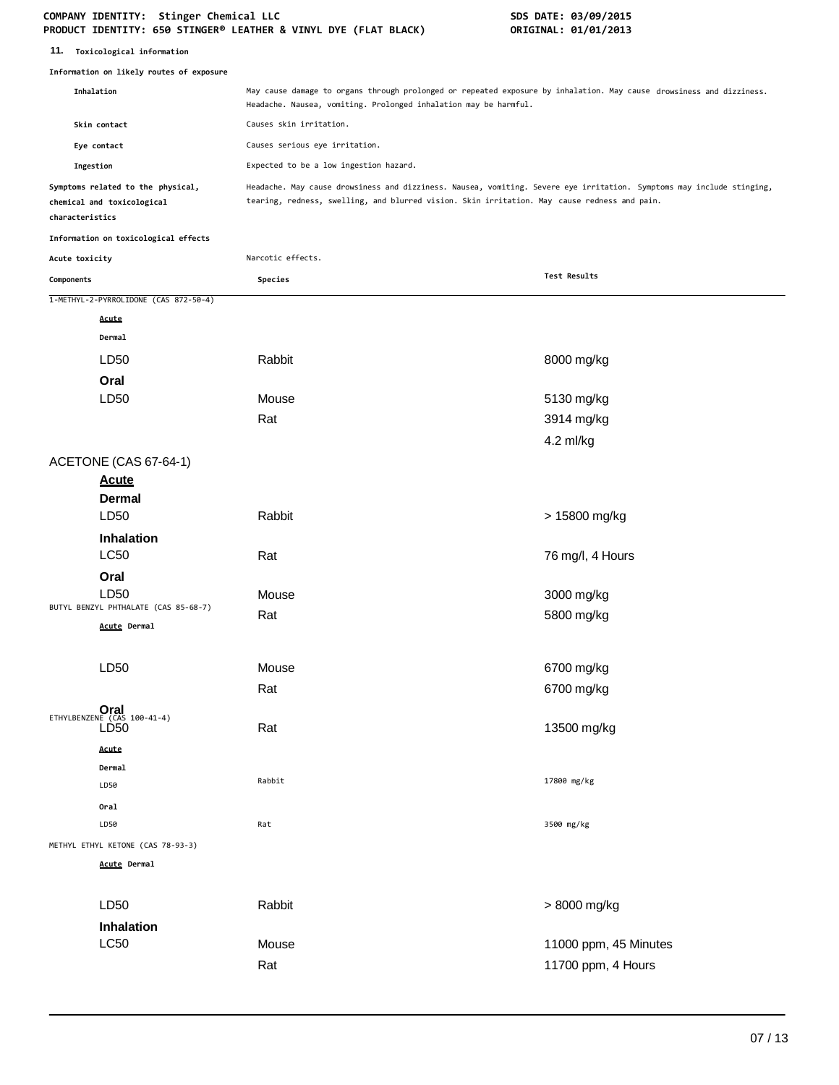#### **COMPANY IDENTITY: Stinger Chemical LLC SDS DATE: 03/09/2015 PRODUCT IDENTITY: 650 STINGER® LEATHER & VINYL DYE (FLAT BLACK) ORIGINAL: 01/01/2013**

| 11. | Toxicological information |  |
|-----|---------------------------|--|
|-----|---------------------------|--|

|                 | Information on likely routes of exposure                        |                                                                                                                                                                                                                       |                       |  |
|-----------------|-----------------------------------------------------------------|-----------------------------------------------------------------------------------------------------------------------------------------------------------------------------------------------------------------------|-----------------------|--|
|                 | Inhalation                                                      | May cause damage to organs through prolonged or repeated exposure by inhalation. May cause drowsiness and dizziness.<br>Headache. Nausea, vomiting. Prolonged inhalation may be harmful.                              |                       |  |
|                 | Skin contact                                                    | Causes skin irritation.<br>Causes serious eye irritation.                                                                                                                                                             |                       |  |
|                 | Eye contact                                                     |                                                                                                                                                                                                                       |                       |  |
| Ingestion       |                                                                 | Expected to be a low ingestion hazard.                                                                                                                                                                                |                       |  |
| characteristics | Symptoms related to the physical,<br>chemical and toxicological | Headache. May cause drowsiness and dizziness. Nausea, vomiting. Severe eye irritation. Symptoms may include stinging,<br>tearing, redness, swelling, and blurred vision. Skin irritation. May cause redness and pain. |                       |  |
|                 | Information on toxicological effects                            |                                                                                                                                                                                                                       |                       |  |
| Acute toxicity  |                                                                 | Narcotic effects.                                                                                                                                                                                                     |                       |  |
| Components      |                                                                 | Species                                                                                                                                                                                                               | Test Results          |  |
|                 | 1-METHYL-2-PYRROLIDONE (CAS 872-50-4)                           |                                                                                                                                                                                                                       |                       |  |
|                 | Acute                                                           |                                                                                                                                                                                                                       |                       |  |
|                 | Dermal                                                          |                                                                                                                                                                                                                       |                       |  |
|                 | LD50                                                            | Rabbit                                                                                                                                                                                                                | 8000 mg/kg            |  |
|                 | Oral                                                            |                                                                                                                                                                                                                       |                       |  |
|                 | LD50                                                            | Mouse                                                                                                                                                                                                                 | 5130 mg/kg            |  |
|                 |                                                                 | Rat                                                                                                                                                                                                                   | 3914 mg/kg            |  |
|                 |                                                                 |                                                                                                                                                                                                                       | 4.2 ml/kg             |  |
|                 | ACETONE (CAS 67-64-1)                                           |                                                                                                                                                                                                                       |                       |  |
|                 | <b>Acute</b>                                                    |                                                                                                                                                                                                                       |                       |  |
|                 | <b>Dermal</b>                                                   |                                                                                                                                                                                                                       |                       |  |
|                 | LD50                                                            | Rabbit                                                                                                                                                                                                                | > 15800 mg/kg         |  |
|                 | <b>Inhalation</b>                                               |                                                                                                                                                                                                                       |                       |  |
|                 | <b>LC50</b>                                                     | Rat                                                                                                                                                                                                                   | 76 mg/l, 4 Hours      |  |
|                 | Oral                                                            |                                                                                                                                                                                                                       |                       |  |
|                 | LD50<br>BUTYL BENZYL PHTHALATE (CAS 85-68-7)                    | Mouse                                                                                                                                                                                                                 | 3000 mg/kg            |  |
|                 | Acute Dermal                                                    | Rat                                                                                                                                                                                                                   | 5800 mg/kg            |  |
|                 |                                                                 |                                                                                                                                                                                                                       |                       |  |
|                 | LD50                                                            | Mouse                                                                                                                                                                                                                 | 6700 mg/kg            |  |
|                 |                                                                 | Rat                                                                                                                                                                                                                   | 6700 mg/kg            |  |
|                 |                                                                 |                                                                                                                                                                                                                       |                       |  |
|                 | $Oral$ ETHYLBENZENE (CAS 100-41-4)<br>LD <sub>50</sub>          | Rat                                                                                                                                                                                                                   | 13500 mg/kg           |  |
|                 | Acute                                                           |                                                                                                                                                                                                                       |                       |  |
|                 | Dermal                                                          |                                                                                                                                                                                                                       |                       |  |
|                 | LD50                                                            | Rabbit                                                                                                                                                                                                                | 17800 mg/kg           |  |
|                 | Oral                                                            |                                                                                                                                                                                                                       |                       |  |
|                 | LD50                                                            | Rat                                                                                                                                                                                                                   | 3500 mg/kg            |  |
|                 | METHYL ETHYL KETONE (CAS 78-93-3)                               |                                                                                                                                                                                                                       |                       |  |
|                 | <b>Acute Dermal</b>                                             |                                                                                                                                                                                                                       |                       |  |
|                 |                                                                 |                                                                                                                                                                                                                       |                       |  |
|                 | LD50                                                            | Rabbit                                                                                                                                                                                                                | > 8000 mg/kg          |  |
|                 | Inhalation                                                      |                                                                                                                                                                                                                       |                       |  |
|                 | <b>LC50</b>                                                     | Mouse                                                                                                                                                                                                                 | 11000 ppm, 45 Minutes |  |
|                 |                                                                 | Rat                                                                                                                                                                                                                   | 11700 ppm, 4 Hours    |  |
|                 |                                                                 |                                                                                                                                                                                                                       |                       |  |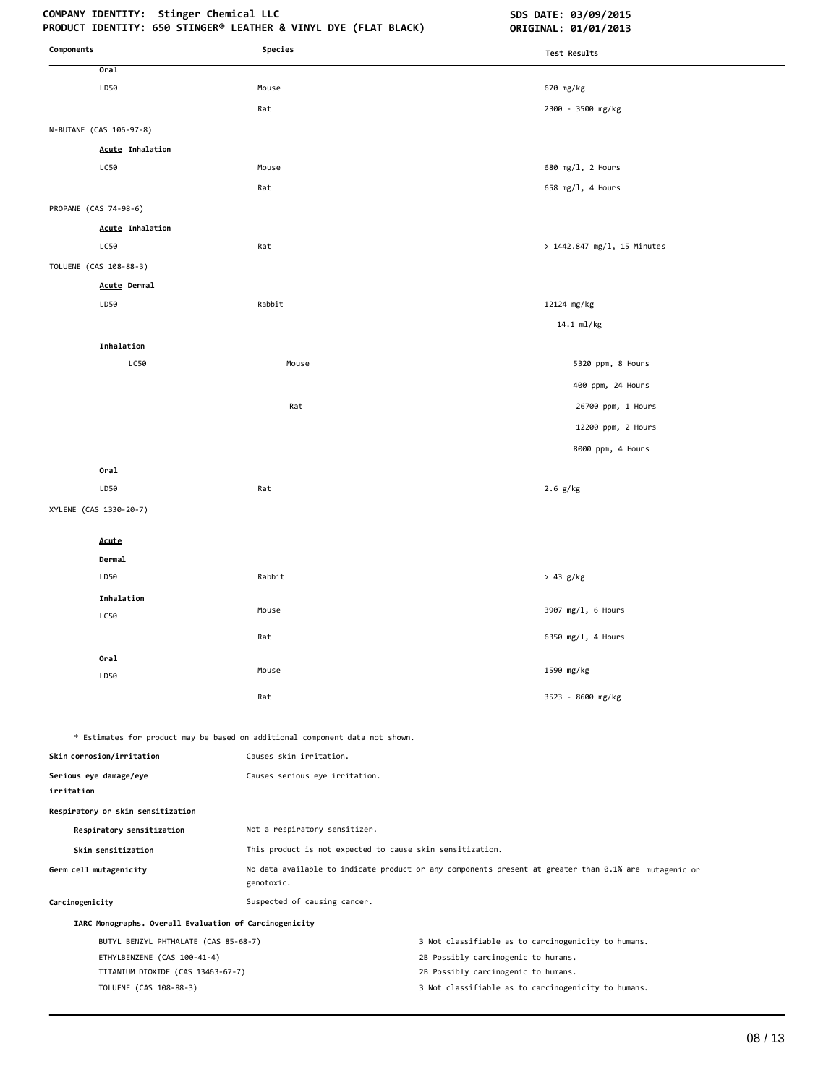# COMPANY IDENTITY: Stinger Chemical LLC **SDS DATE: 03/09/2015**

| Components                                                       | Species                                                                      | <b>Test Results</b>                                                                                   |
|------------------------------------------------------------------|------------------------------------------------------------------------------|-------------------------------------------------------------------------------------------------------|
| Oral                                                             |                                                                              |                                                                                                       |
| LD50                                                             | Mouse                                                                        | 670 mg/kg                                                                                             |
|                                                                  | Rat                                                                          | 2300 - 3500 mg/kg                                                                                     |
| N-BUTANE (CAS 106-97-8)                                          |                                                                              |                                                                                                       |
| <b>Acute Inhalation</b>                                          |                                                                              |                                                                                                       |
| LC50                                                             | Mouse                                                                        | 680 mg/l, 2 Hours                                                                                     |
|                                                                  | Rat                                                                          | 658 mg/l, 4 Hours                                                                                     |
| PROPANE (CAS 74-98-6)                                            |                                                                              |                                                                                                       |
| <b>Acute Inhalation</b>                                          |                                                                              |                                                                                                       |
| LC50                                                             | Rat                                                                          | > 1442.847 mg/l, 15 Minutes                                                                           |
| TOLUENE (CAS 108-88-3)                                           |                                                                              |                                                                                                       |
| Acute Dermal                                                     |                                                                              |                                                                                                       |
| LD50                                                             | Rabbit                                                                       | 12124 mg/kg                                                                                           |
|                                                                  |                                                                              | 14.1 ml/kg                                                                                            |
| Inhalation                                                       |                                                                              |                                                                                                       |
| LC50                                                             | Mouse                                                                        | 5320 ppm, 8 Hours                                                                                     |
|                                                                  |                                                                              | 400 ppm, 24 Hours                                                                                     |
|                                                                  | Rat                                                                          | 26700 ppm, 1 Hours                                                                                    |
|                                                                  |                                                                              | 12200 ppm, 2 Hours                                                                                    |
|                                                                  |                                                                              | 8000 ppm, 4 Hours                                                                                     |
| Oral                                                             |                                                                              |                                                                                                       |
| LD50                                                             | Rat                                                                          | $2.6$ g/kg                                                                                            |
| XYLENE (CAS 1330-20-7)                                           |                                                                              |                                                                                                       |
| Acute                                                            |                                                                              |                                                                                                       |
| Dermal                                                           |                                                                              |                                                                                                       |
| LD50                                                             | Rabbit                                                                       | > 43 g/kg                                                                                             |
| Inhalation                                                       |                                                                              |                                                                                                       |
| LC50                                                             | Mouse                                                                        | 3907 mg/l, 6 Hours                                                                                    |
|                                                                  | Rat                                                                          | 6350 mg/l, 4 Hours                                                                                    |
| Oral                                                             |                                                                              |                                                                                                       |
| LD50                                                             | Mouse                                                                        | 1590 mg/kg                                                                                            |
|                                                                  | Rat                                                                          | 3523 - 8600 mg/kg                                                                                     |
|                                                                  | * Estimates for product may be based on additional component data not shown. |                                                                                                       |
| Skin corrosion/irritation                                        | Causes skin irritation.                                                      |                                                                                                       |
| Serious eye damage/eye<br>irritation                             | Causes serious eye irritation.                                               |                                                                                                       |
| Respiratory or skin sensitization                                |                                                                              |                                                                                                       |
| Respiratory sensitization                                        | Not a respiratory sensitizer.                                                |                                                                                                       |
| Skin sensitization                                               | This product is not expected to cause skin sensitization.                    |                                                                                                       |
| Germ cell mutagenicity                                           | genotoxic.                                                                   | No data available to indicate product or any components present at greater than 0.1% are mutagenic or |
| Carcinogenicity                                                  | Suspected of causing cancer.                                                 |                                                                                                       |
| IARC Monographs. Overall Evaluation of Carcinogenicity           |                                                                              |                                                                                                       |
| BUTYL BENZYL PHTHALATE (CAS 85-68-7)                             |                                                                              | 3 Not classifiable as to carcinogenicity to humans.                                                   |
| ETHYLBENZENE (CAS 100-41-4)<br>TITANIUM DIOXIDE (CAS 13463-67-7) |                                                                              | 2B Possibly carcinogenic to humans.<br>2B Possibly carcinogenic to humans.                            |
| TOLUENE (CAS 108-88-3)                                           |                                                                              | 3 Not classifiable as to carcinogenicity to humans.                                                   |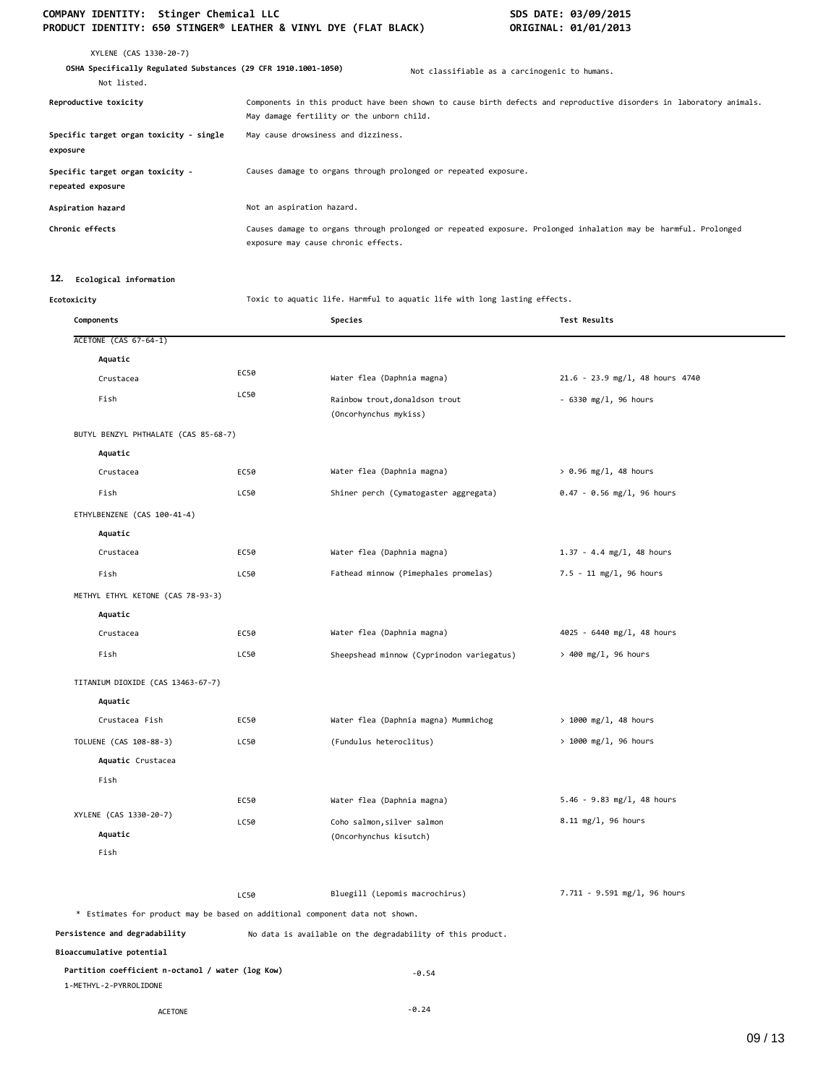# COMPANY IDENTITY: Stinger Chemical LLC<br>PRODUCT IDENTITY: 650 STINGER® LEATHER & VINYL DYE (FLAT BLACK) **SOMETINAL: 01/01/2013 PRODUCT IDENTITY: 650 STINGER® LEATHER & VINYL DYE (FLAT BLACK)**

| XYLENE (CAS 1330-20-7)<br>OSHA Specifically Regulated Substances (29 CFR 1910.1001-1050)<br>Not listed. |                                                                 | Not classifiable as a carcinogenic to humans.                                                                       |
|---------------------------------------------------------------------------------------------------------|-----------------------------------------------------------------|---------------------------------------------------------------------------------------------------------------------|
| Reproductive toxicity                                                                                   | May damage fertility or the unborn child.                       | Components in this product have been shown to cause birth defects and reproductive disorders in laboratory animals. |
| Specific target organ toxicity - single<br>exposure                                                     | May cause drowsiness and dizziness.                             |                                                                                                                     |
| Specific target organ toxicity -<br>repeated exposure                                                   | Causes damage to organs through prolonged or repeated exposure. |                                                                                                                     |
| Aspiration hazard                                                                                       | Not an aspiration hazard.                                       |                                                                                                                     |
| Chronic effects                                                                                         | exposure may cause chronic effects.                             | Causes damage to organs through prolonged or repeated exposure. Prolonged inhalation may be harmful. Prolonged      |

# **12. Ecological information**

**Ecotoxicity** Toxic to aquatic life. Harmful to aquatic life with long lasting effects.

| Components                                                                   |             | Species                                                    | Test Results                      |
|------------------------------------------------------------------------------|-------------|------------------------------------------------------------|-----------------------------------|
| ACETONE (CAS 67-64-1)                                                        |             |                                                            |                                   |
| Aquatic                                                                      |             |                                                            |                                   |
| Crustacea                                                                    | EC50        | Water flea (Daphnia magna)                                 | $21.6 - 23.9$ mg/l, 48 hours 4740 |
| Fish                                                                         | LC50        | Rainbow trout, donaldson trout<br>(Oncorhynchus mykiss)    | $-6330$ mg/l, 96 hours            |
| BUTYL BENZYL PHTHALATE (CAS 85-68-7)                                         |             |                                                            |                                   |
| Aquatic                                                                      |             |                                                            |                                   |
| Crustacea                                                                    | EC50        | Water flea (Daphnia magna)                                 | $> 0.96$ mg/l, 48 hours           |
| Fish                                                                         | LC50        | Shiner perch (Cymatogaster aggregata)                      | $0.47 - 0.56$ mg/l, 96 hours      |
| ETHYLBENZENE (CAS 100-41-4)                                                  |             |                                                            |                                   |
| Aquatic                                                                      |             |                                                            |                                   |
| Crustacea                                                                    | EC50        | Water flea (Daphnia magna)                                 | $1.37 - 4.4$ mg/l, 48 hours       |
| Fish                                                                         | <b>LC50</b> | Fathead minnow (Pimephales promelas)                       | 7.5 - 11 mg/l, 96 hours           |
| METHYL ETHYL KETONE (CAS 78-93-3)                                            |             |                                                            |                                   |
| Aquatic                                                                      |             |                                                            |                                   |
| Crustacea                                                                    | EC50        | Water flea (Daphnia magna)                                 | 4025 - 6440 mg/l, 48 hours        |
| Fish                                                                         | LC50        | Sheepshead minnow (Cyprinodon variegatus)                  | > 400 mg/l, 96 hours              |
| TITANIUM DIOXIDE (CAS 13463-67-7)                                            |             |                                                            |                                   |
| Aquatic                                                                      |             |                                                            |                                   |
| Crustacea Fish                                                               | EC50        | Water flea (Daphnia magna) Mummichog                       | $> 1000$ mg/l, 48 hours           |
| TOLUENE (CAS 108-88-3)                                                       | LC50        | (Fundulus heteroclitus)                                    | > 1000 mg/l, 96 hours             |
| Aquatic Crustacea                                                            |             |                                                            |                                   |
| Fish                                                                         |             |                                                            |                                   |
|                                                                              | EC50        | Water flea (Daphnia magna)                                 | $5.46 - 9.83$ mg/l, 48 hours      |
| XYLENE (CAS 1330-20-7)                                                       | LC50        | Coho salmon, silver salmon                                 | 8.11 mg/l, 96 hours               |
| Aquatic                                                                      |             | (Oncorhynchus kisutch)                                     |                                   |
| Fish                                                                         |             |                                                            |                                   |
|                                                                              | LC50        | Bluegill (Lepomis macrochirus)                             | 7.711 - 9.591 mg/l, 96 hours      |
| * Estimates for product may be based on additional component data not shown. |             |                                                            |                                   |
| Persistence and degradability                                                |             | No data is available on the degradability of this product. |                                   |
| Bioaccumulative potential                                                    |             |                                                            |                                   |
| Partition coefficient n-octanol / water (log Kow)<br>1-METHYL-2-PYRROLIDONE  |             | $-0.54$                                                    |                                   |
| <b>ACETONE</b>                                                               |             | $-0.24$                                                    |                                   |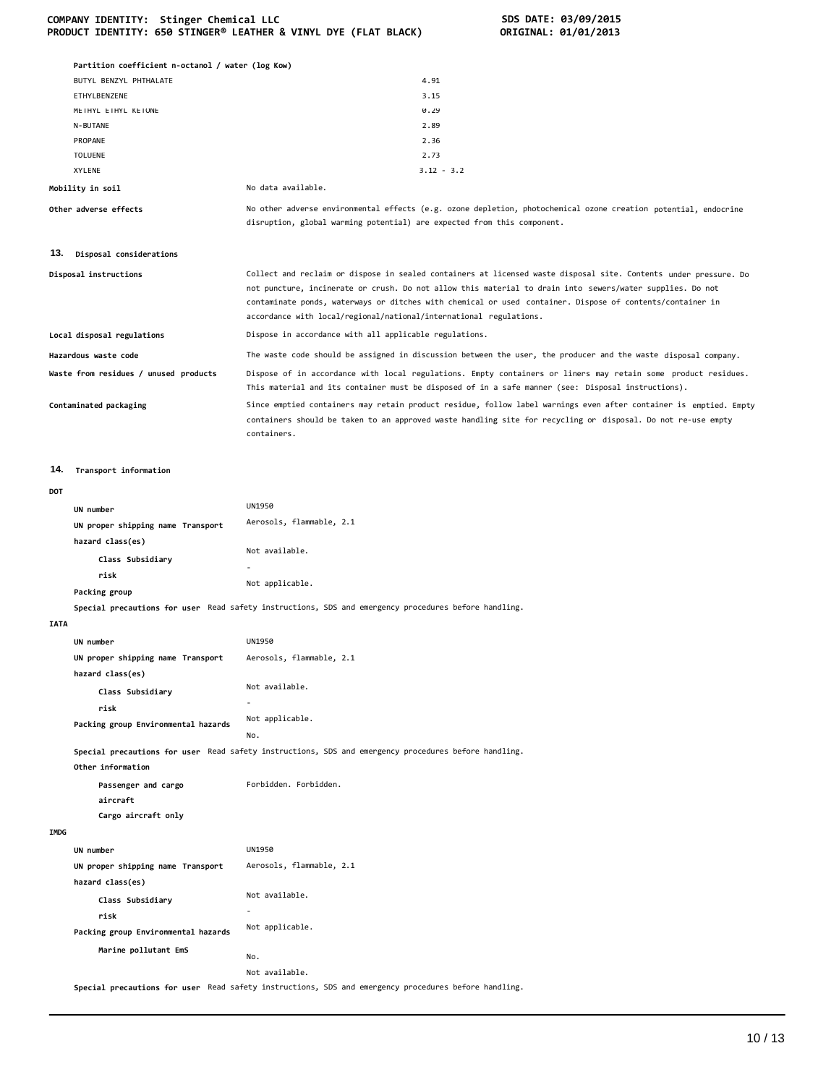#### **COMPANY IDENTITY: Stinger Chemical LLC SDS DATE: 03/09/2015 PRODUCT IDENTITY: 650 STINGER® LEATHER & VINYL DYE (FLAT BLACK) ORIGINAL: 01/01/2013**

|             | Partition coefficient n-octanol / water (log Kow)<br>BUTYL BENZYL PHTHALATE | 4.91                                                                                                                                                                                                                                                                                                                                                                                                             |
|-------------|-----------------------------------------------------------------------------|------------------------------------------------------------------------------------------------------------------------------------------------------------------------------------------------------------------------------------------------------------------------------------------------------------------------------------------------------------------------------------------------------------------|
|             | ETHYLBENZENE                                                                | 3.15                                                                                                                                                                                                                                                                                                                                                                                                             |
|             | METHYL ETHYL KETONE                                                         | 0.29                                                                                                                                                                                                                                                                                                                                                                                                             |
|             | N-BUTANE                                                                    | 2.89                                                                                                                                                                                                                                                                                                                                                                                                             |
|             | PROPANE                                                                     | 2.36                                                                                                                                                                                                                                                                                                                                                                                                             |
|             | TOLUENE                                                                     | 2.73                                                                                                                                                                                                                                                                                                                                                                                                             |
|             | XYLENE                                                                      | $3.12 - 3.2$                                                                                                                                                                                                                                                                                                                                                                                                     |
|             | Mobility in soil                                                            | No data available.                                                                                                                                                                                                                                                                                                                                                                                               |
|             | Other adverse effects                                                       | No other adverse environmental effects (e.g. ozone depletion, photochemical ozone creation potential, endocrine<br>disruption, global warming potential) are expected from this component.                                                                                                                                                                                                                       |
|             | 13. Disposal considerations                                                 |                                                                                                                                                                                                                                                                                                                                                                                                                  |
|             | Disposal instructions                                                       | Collect and reclaim or dispose in sealed containers at licensed waste disposal site. Contents under pressure. Do<br>not puncture, incinerate or crush. Do not allow this material to drain into sewers/water supplies. Do not<br>contaminate ponds, waterways or ditches with chemical or used container. Dispose of contents/container in<br>accordance with local/regional/national/international regulations. |
|             | Local disposal regulations                                                  | Dispose in accordance with all applicable regulations.                                                                                                                                                                                                                                                                                                                                                           |
|             | Hazardous waste code                                                        | The waste code should be assigned in discussion between the user, the producer and the waste disposal company.                                                                                                                                                                                                                                                                                                   |
|             | Waste from residues / unused products                                       | Dispose of in accordance with local regulations. Empty containers or liners may retain some product residues.<br>This material and its container must be disposed of in a safe manner (see: Disposal instructions).                                                                                                                                                                                              |
|             | Contaminated packaging                                                      | Since emptied containers may retain product residue, follow label warnings even after container is emptied. Empty<br>containers should be taken to an approved waste handling site for recycling or disposal. Do not re-use empty<br>containers.                                                                                                                                                                 |
| 14.         | Transport information                                                       |                                                                                                                                                                                                                                                                                                                                                                                                                  |
| DOT         |                                                                             |                                                                                                                                                                                                                                                                                                                                                                                                                  |
|             | UN number                                                                   | UN1950                                                                                                                                                                                                                                                                                                                                                                                                           |
|             | UN proper shipping name Transport                                           | Aerosols, flammable, 2.1                                                                                                                                                                                                                                                                                                                                                                                         |
|             | hazard class(es)                                                            |                                                                                                                                                                                                                                                                                                                                                                                                                  |
|             | Class Subsidiary                                                            | Not available.                                                                                                                                                                                                                                                                                                                                                                                                   |
|             | risk                                                                        |                                                                                                                                                                                                                                                                                                                                                                                                                  |
|             | Packing group                                                               | Not applicable.                                                                                                                                                                                                                                                                                                                                                                                                  |
|             |                                                                             | Special precautions for user Read safety instructions, SDS and emergency procedures before handling.                                                                                                                                                                                                                                                                                                             |
| <b>IATA</b> |                                                                             |                                                                                                                                                                                                                                                                                                                                                                                                                  |
|             | UN number                                                                   | <b>UN1950</b>                                                                                                                                                                                                                                                                                                                                                                                                    |
|             | UN proper shipping name Transport                                           | Aerosols, flammable, 2.1                                                                                                                                                                                                                                                                                                                                                                                         |
|             | hazard class(es)                                                            |                                                                                                                                                                                                                                                                                                                                                                                                                  |
|             | Class Subsidiary                                                            | Not available.                                                                                                                                                                                                                                                                                                                                                                                                   |
|             | risk                                                                        |                                                                                                                                                                                                                                                                                                                                                                                                                  |
|             | Packing group Environmental hazards                                         | Not applicable.<br>No.                                                                                                                                                                                                                                                                                                                                                                                           |
|             | Other information                                                           | Special precautions for user Read safety instructions, SDS and emergency procedures before handling.                                                                                                                                                                                                                                                                                                             |
|             | Passenger and cargo<br>aircraft                                             | Forbidden. Forbidden.                                                                                                                                                                                                                                                                                                                                                                                            |
|             | Cargo aircraft only                                                         |                                                                                                                                                                                                                                                                                                                                                                                                                  |
| IMDG        |                                                                             |                                                                                                                                                                                                                                                                                                                                                                                                                  |
|             | UN number                                                                   | UN1950                                                                                                                                                                                                                                                                                                                                                                                                           |
|             | UN proper shipping name Transport                                           | Aerosols, flammable, 2.1                                                                                                                                                                                                                                                                                                                                                                                         |
|             | hazard class(es)                                                            |                                                                                                                                                                                                                                                                                                                                                                                                                  |
|             | Class Subsidiary                                                            | Not available.                                                                                                                                                                                                                                                                                                                                                                                                   |
|             | risk                                                                        |                                                                                                                                                                                                                                                                                                                                                                                                                  |
|             | Packing group Environmental hazards                                         | Not applicable.                                                                                                                                                                                                                                                                                                                                                                                                  |
|             | Marine pollutant EmS                                                        | No.                                                                                                                                                                                                                                                                                                                                                                                                              |
|             |                                                                             | Not available.                                                                                                                                                                                                                                                                                                                                                                                                   |
|             |                                                                             |                                                                                                                                                                                                                                                                                                                                                                                                                  |

**Special precautions for user** Read safety instructions, SDS and emergency procedures before handling.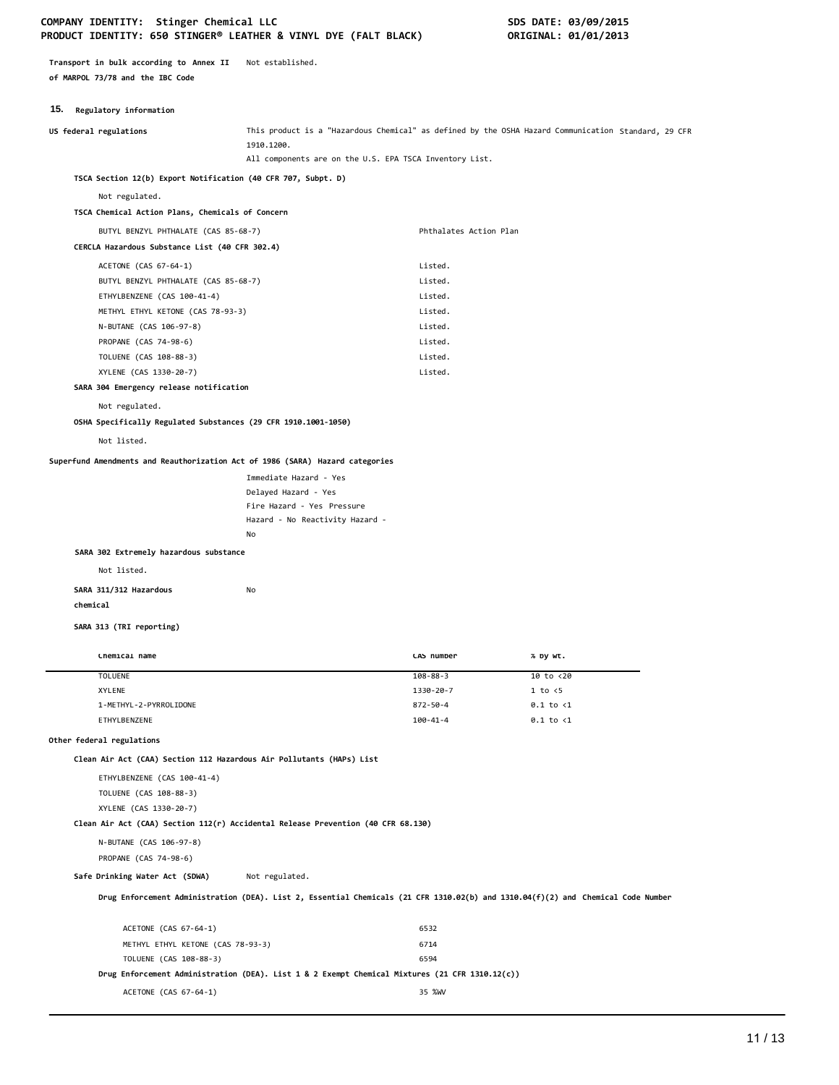# COMPANY IDENTITY: Stinger Chemical LLC **SDS DATE: 03/09/2015 PRODUCT IDENTITY: 650 STINGER® LEATHER & VINYL DYE (FALT BLACK) ORIGINAL: 01/01/2013**

**Transport in bulk according to Annex II** Not established. **of MARPOL 73/78 and the IBC Code**

# **15. Regulatory information**

| <b>10.</b> Acguiatory Information                                                |                                                                                                                                  |                            |                                                                                                     |
|----------------------------------------------------------------------------------|----------------------------------------------------------------------------------------------------------------------------------|----------------------------|-----------------------------------------------------------------------------------------------------|
| US federal regulations                                                           | 1910.1200.                                                                                                                       |                            | This product is a "Hazardous Chemical" as defined by the OSHA Hazard Communication Standard, 29 CFR |
|                                                                                  | All components are on the U.S. EPA TSCA Inventory List.                                                                          |                            |                                                                                                     |
| TSCA Section 12(b) Export Notification (40 CFR 707, Subpt. D)                    |                                                                                                                                  |                            |                                                                                                     |
| Not regulated.                                                                   |                                                                                                                                  |                            |                                                                                                     |
| TSCA Chemical Action Plans, Chemicals of Concern                                 |                                                                                                                                  |                            |                                                                                                     |
| BUTYL BENZYL PHTHALATE (CAS 85-68-7)                                             |                                                                                                                                  | Phthalates Action Plan     |                                                                                                     |
| CERCLA Hazardous Substance List (40 CFR 302.4)                                   |                                                                                                                                  |                            |                                                                                                     |
| ACETONE (CAS 67-64-1)                                                            |                                                                                                                                  | Listed.                    |                                                                                                     |
| BUTYL BENZYL PHTHALATE (CAS 85-68-7)                                             |                                                                                                                                  | Listed.                    |                                                                                                     |
| ETHYLBENZENE (CAS 100-41-4)                                                      |                                                                                                                                  | Listed.                    |                                                                                                     |
| METHYL ETHYL KETONE (CAS 78-93-3)                                                |                                                                                                                                  | Listed.                    |                                                                                                     |
| N-BUTANE (CAS 106-97-8)                                                          |                                                                                                                                  | Listed.                    |                                                                                                     |
| PROPANE (CAS 74-98-6)                                                            |                                                                                                                                  | Listed.                    |                                                                                                     |
| TOLUENE (CAS 108-88-3)                                                           |                                                                                                                                  | Listed.                    |                                                                                                     |
| XYLENE (CAS 1330-20-7)                                                           |                                                                                                                                  | Listed.                    |                                                                                                     |
| SARA 304 Emergency release notification                                          |                                                                                                                                  |                            |                                                                                                     |
| Not regulated.                                                                   |                                                                                                                                  |                            |                                                                                                     |
| OSHA Specifically Regulated Substances (29 CFR 1910.1001-1050)                   |                                                                                                                                  |                            |                                                                                                     |
| Not listed.                                                                      |                                                                                                                                  |                            |                                                                                                     |
| Superfund Amendments and Reauthorization Act of 1986 (SARA) Hazard categories    |                                                                                                                                  |                            |                                                                                                     |
|                                                                                  | Immediate Hazard - Yes                                                                                                           |                            |                                                                                                     |
|                                                                                  | Delayed Hazard - Yes                                                                                                             |                            |                                                                                                     |
|                                                                                  | Fire Hazard - Yes Pressure                                                                                                       |                            |                                                                                                     |
|                                                                                  | Hazard - No Reactivity Hazard -                                                                                                  |                            |                                                                                                     |
|                                                                                  | No                                                                                                                               |                            |                                                                                                     |
| SARA 302 Extremely hazardous substance                                           |                                                                                                                                  |                            |                                                                                                     |
| Not listed.                                                                      |                                                                                                                                  |                            |                                                                                                     |
| SARA 311/312 Hazardous                                                           | No                                                                                                                               |                            |                                                                                                     |
| chemical                                                                         |                                                                                                                                  |                            |                                                                                                     |
|                                                                                  |                                                                                                                                  |                            |                                                                                                     |
| SARA 313 (TRI reporting)                                                         |                                                                                                                                  |                            |                                                                                                     |
|                                                                                  |                                                                                                                                  |                            |                                                                                                     |
| Chemical name                                                                    |                                                                                                                                  | CAS number                 | % by wt.                                                                                            |
| <b>TOLUENE</b>                                                                   |                                                                                                                                  | $108 - 88 - 3$             | 10 to <20                                                                                           |
| XYLENE                                                                           |                                                                                                                                  | 1330-20-7                  | 1 to < 5                                                                                            |
| 1-METHYL-2-PYRROLIDONE                                                           |                                                                                                                                  | 872-50-4<br>$100 - 41 - 4$ | $0.1$ to $<$ 1                                                                                      |
| ETHYLBENZENE                                                                     |                                                                                                                                  |                            | $0.1$ to $\langle 1$                                                                                |
| Other federal regulations                                                        |                                                                                                                                  |                            |                                                                                                     |
| Clean Air Act (CAA) Section 112 Hazardous Air Pollutants (HAPs) List             |                                                                                                                                  |                            |                                                                                                     |
| ETHYLBENZENE (CAS 100-41-4)                                                      |                                                                                                                                  |                            |                                                                                                     |
| TOLUENE (CAS 108-88-3)                                                           |                                                                                                                                  |                            |                                                                                                     |
| XYLENE (CAS 1330-20-7)                                                           |                                                                                                                                  |                            |                                                                                                     |
| Clean Air Act (CAA) Section 112(r) Accidental Release Prevention (40 CFR 68.130) |                                                                                                                                  |                            |                                                                                                     |
| N-BUTANE (CAS 106-97-8)                                                          |                                                                                                                                  |                            |                                                                                                     |
| PROPANE (CAS 74-98-6)                                                            |                                                                                                                                  |                            |                                                                                                     |
| Safe Drinking Water Act (SDWA)                                                   | Not regulated.                                                                                                                   |                            |                                                                                                     |
|                                                                                  |                                                                                                                                  |                            |                                                                                                     |
|                                                                                  | Drug Enforcement Administration (DEA). List 2, Essential Chemicals (21 CFR 1310.02(b) and 1310.04(f)(2) and Chemical Code Number |                            |                                                                                                     |
| ACETONE (CAS 67-64-1)                                                            |                                                                                                                                  | 6532                       |                                                                                                     |
|                                                                                  |                                                                                                                                  |                            |                                                                                                     |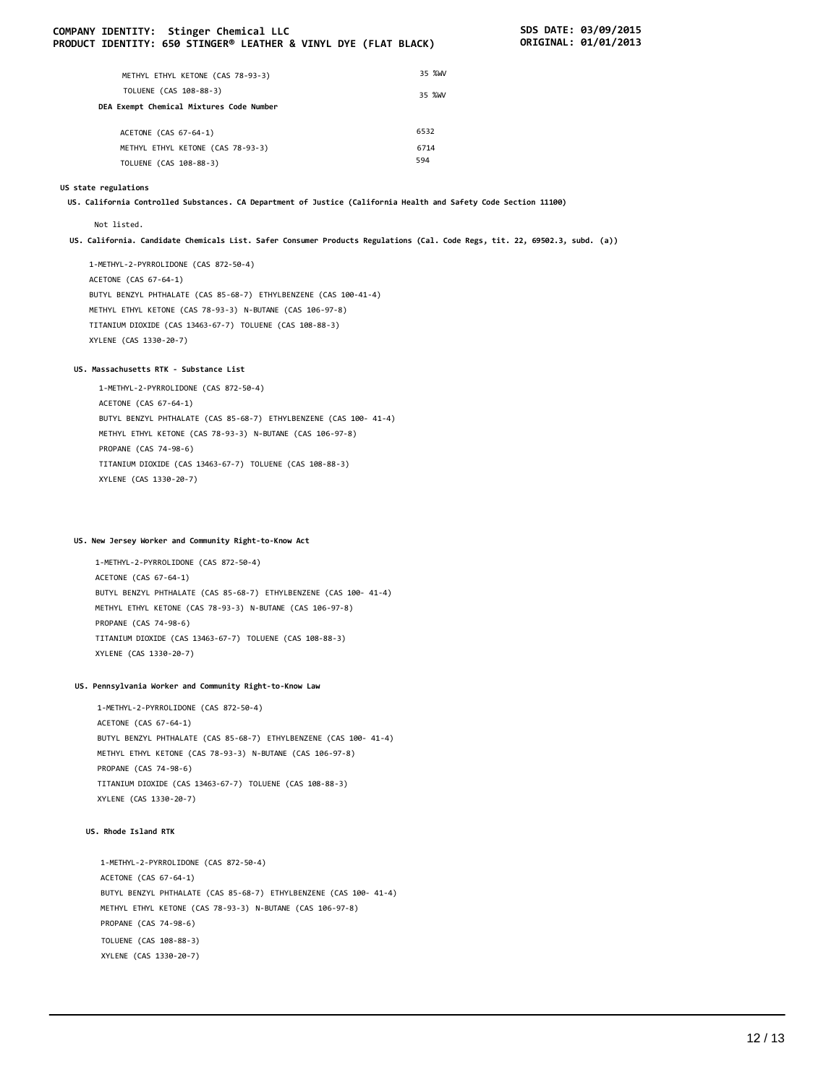#### **COMPANY IDENTITY: Stinger Chemical LLC SDS DATE: 03/09/2015 PRODUCT IDENTITY: 650 STINGER® LEATHER & VINYL DYE (FLAT BLACK)**

| METHYL ETHYL KETONE (CAS 78-93-3)        | 35 %WV |
|------------------------------------------|--------|
| TOLUENE (CAS 108-88-3)                   | 35 %WV |
| DEA Exempt Chemical Mixtures Code Number |        |
| ACETONE (CAS 67-64-1)                    | 6532   |
| METHYL ETHYL KETONE (CAS 78-93-3)        | 6714   |
| TOLUENE (CAS 108-88-3)                   | 594    |

#### **US state regulations**

**US. California Controlled Substances. CA Department of Justice (California Health and Safety Code Section 11100)**

#### Not listed.

US. California. Candidate Chemicals List. Safer Consumer Products Regulations (Cal. Code Regs, tit. 22, 69502.3, subd. (a))

1-METHYL-2-PYRROLIDONE (CAS 872-50-4) ACETONE (CAS 67-64-1) BUTYL BENZYL PHTHALATE (CAS 85-68-7) ETHYLBENZENE (CAS 100-41-4) METHYL ETHYL KETONE (CAS 78-93-3) N-BUTANE (CAS 106-97-8) TITANIUM DIOXIDE (CAS 13463-67-7) TOLUENE (CAS 108-88-3) XYLENE (CAS 1330-20-7)

#### **US. Massachusetts RTK - Substance List**

1-METHYL-2-PYRROLIDONE (CAS 872-50-4) ACETONE (CAS 67-64-1) BUTYL BENZYL PHTHALATE (CAS 85-68-7) ETHYLBENZENE (CAS 100- 41-4) METHYL ETHYL KETONE (CAS 78-93-3) N-BUTANE (CAS 106-97-8) PROPANE (CAS 74-98-6) TITANIUM DIOXIDE (CAS 13463-67-7) TOLUENE (CAS 108-88-3) XYLENE (CAS 1330-20-7)

# **US. New Jersey Worker and Community Right-to-Know Act**

1-METHYL-2-PYRROLIDONE (CAS 872-50-4) ACETONE (CAS 67-64-1) BUTYL BENZYL PHTHALATE (CAS 85-68-7) ETHYLBENZENE (CAS 100- 41-4) METHYL ETHYL KETONE (CAS 78-93-3) N-BUTANE (CAS 106-97-8) PROPANE (CAS 74-98-6) TITANIUM DIOXIDE (CAS 13463-67-7) TOLUENE (CAS 108-88-3) XYLENE (CAS 1330-20-7)

#### **US. Pennsylvania Worker and Community Right-to-Know Law**

1-METHYL-2-PYRROLIDONE (CAS 872-50-4) ACETONE (CAS 67-64-1) BUTYL BENZYL PHTHALATE (CAS 85-68-7) ETHYLBENZENE (CAS 100- 41-4) METHYL ETHYL KETONE (CAS 78-93-3) N-BUTANE (CAS 106-97-8) PROPANE (CAS 74-98-6) TITANIUM DIOXIDE (CAS 13463-67-7) TOLUENE (CAS 108-88-3) XYLENE (CAS 1330-20-7)

#### **US. Rhode Island RTK**

1-METHYL-2-PYRROLIDONE (CAS 872-50-4) ACETONE (CAS 67-64-1) BUTYL BENZYL PHTHALATE (CAS 85-68-7) ETHYLBENZENE (CAS 100- 41-4) METHYL ETHYL KETONE (CAS 78-93-3) N-BUTANE (CAS 106-97-8) PROPANE (CAS 74-98-6) TOLUENE (CAS 108-88-3) XYLENE (CAS 1330-20-7)